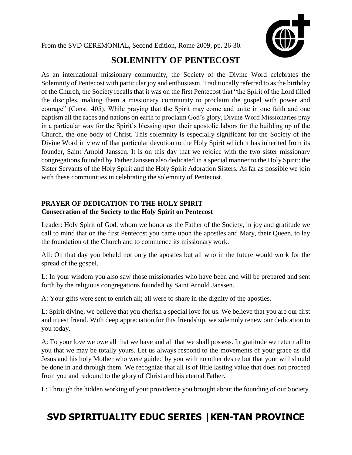From the SVD CEREMONIAL, Second Edition, Rome 2009, pp. 26-30.



## **SOLEMNITY OF PENTECOST**

As an international missionary community, the Society of the Divine Word celebrates the Solemnity of Pentecost with particular joy and enthusiasm. Traditionally referred to as the birthday of the Church, the Society recalls that it was on the first Pentecost that "the Spirit of the Lord filled the disciples, making them a missionary community to proclaim the gospel with power and courage" (Const. 405). While praying that the Spirit may come and unite in one faith and one baptism all the races and nations on earth to proclaim God's glory, Divine Word Missionaries pray in a particular way for the Spirit's blessing upon their apostolic labors for the building up of the Church, the one body of Christ. This solemnity is especially significant for the Society of the Divine Word in view of that particular devotion to the Holy Spirit which it has inherited from its founder, Saint Arnold Janssen. It is on this day that we rejoice with the two sister missionary congregations founded by Father Janssen also dedicated in a special manner to the Holy Spirit: the Sister Servants of the Holy Spirit and the Holy Spirit Adoration Sisters. As far as possible we join with these communities in celebrating the solemnity of Pentecost.

## **PRAYER OF DEDICATION TO THE HOLY SPIRIT Consecration of the Society to the Holy Spirit on Pentecost**

Leader: Holy Spirit of God, whom we honor as the Father of the Society, in joy and gratitude we call to mind that on the first Pentecost you came upon the apostles and Mary, their Queen, to lay the foundation of the Church and to commence its missionary work.

All: On that day you beheld not only the apostles but all who in the future would work for the spread of the gospel.

L: In your wisdom you also saw those missionaries who have been and will be prepared and sent forth by the religious congregations founded by Saint Arnold Janssen.

A: Your gifts were sent to enrich all; all were to share in the dignity of the apostles.

L: Spirit divine, we believe that you cherish a special love for us. We believe that you are our first and truest friend. With deep appreciation for this friendship, we solemnly renew our dedication to you today.

A: To your love we owe all that we have and all that we shall possess. In gratitude we return all to you that we may be totally yours. Let us always respond to the movements of your grace as did Jesus and his holy Mother who were guided by you with no other desire but that your will should be done in and through them. We recognize that all is of little lasting value that does not proceed from you and redound to the glory of Christ and his eternal Father.

L: Through the hidden working of your providence you brought about the founding of our Society.

## **SVD SPIRITUALITY EDUC SERIES |KEN-TAN PROVINCE**